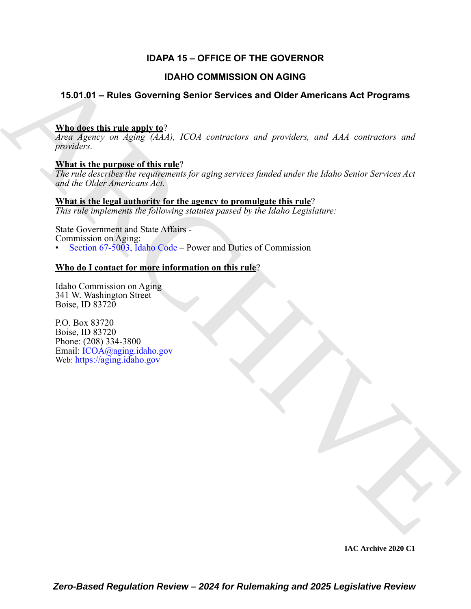## **IDAPA 15 – OFFICE OF THE GOVERNOR**

#### **IDAHO COMMISSION ON AGING**

#### **15.01.01 – Rules Governing Senior Services and Older Americans Act Programs**

#### **Who does this rule apply to**?

**IDAHO COMMISSION ON AGING**<br> **A[RC](https://legislature.idaho.gov/statutesrules/idstat/Title67/T67CH50/SECT67-5003/)[HI](mailto: ICOA@aging.idaho.gov)VES Services** and Older Americans Act Programs<br>  $\frac{\text{WInd of the Hinkian length} \times \frac{\text{Wild}}{\text{d}t}}{\text{d}t}$ <br>  $\frac{\text{Wind of the Hinkian length} \times \frac{\text{Wild}}{\text{d}t}}{\text{d}t}$ <br>  $\frac{\text{Wind of the Hinkian length} \times \frac{\text{Wild}}{\text{d}t}}$ <br>  $\frac{\text{Wind of the Hikramier}}{\text{d$ *Area Agency on Aging (AAA), ICOA contractors and providers, and AAA contractors and providers.*

#### **What is the purpose of this rule**?

*The rule describes the requirements for aging services funded under the Idaho Senior Services Act and the Older Americans Act.*

**What is the legal authority for the agency to promulgate this rule**? *This rule implements the following statutes passed by the Idaho Legislature:*

State Government and State Affairs - Commission on Aging: Section 67-5003, Idaho Code – Power and Duties of Commission

#### **Who do I contact for more information on this rule**?

Idaho Commission on Aging 341 W. Washington Street Boise, ID 83720

P.O. Box 83720 Boise, ID 83720 Phone: (208) 334-3800 Email: ICOA@aging.idaho.gov Web: https://aging.idaho.gov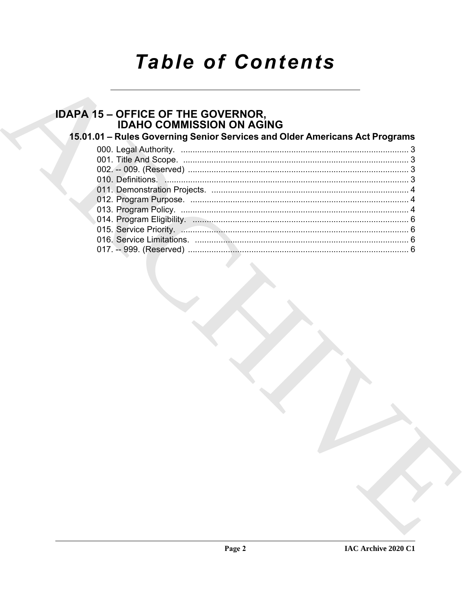# **Table of Contents**

# **IDAPA 15 - OFFICE OF THE GOVERNOR,<br>IDAHO COMMISSION ON AGING**

## 15.01.01 - Rules Governing Senior Services and Older Americans Act Programs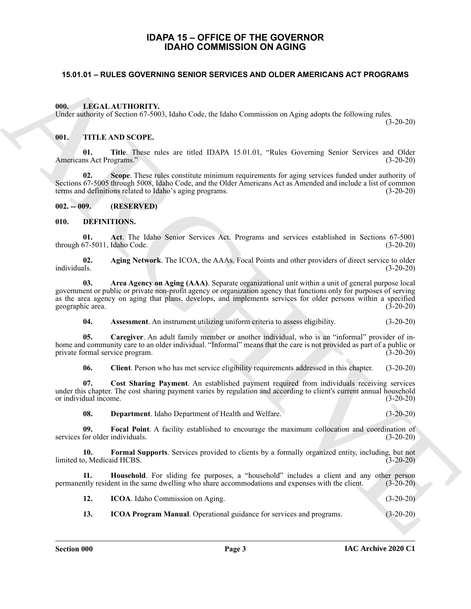#### **IDAPA 15 – OFFICE OF THE GOVERNOR IDAHO COMMISSION ON AGING**

#### <span id="page-2-1"></span><span id="page-2-0"></span>**15.01.01 – RULES GOVERNING SENIOR SERVICES AND OLDER AMERICANS ACT PROGRAMS**

<span id="page-2-20"></span><span id="page-2-2"></span>**000. LEGAL AUTHORITY.**

Under authority of Section 67-5003, Idaho Code, the Idaho Commission on Aging adopts the following rules.

(3-20-20)

#### <span id="page-2-21"></span><span id="page-2-3"></span>**001. TITLE AND SCOPE.**

**01.** Title. These rules are titled IDAPA 15.01.01, "Rules Governing Senior Services and Older ns Act Programs." (3-20-20) Americans Act Programs."

**02. Scope**. These rules constitute minimum requirements for aging services funded under authority of Sections 67-5005 through 5008, Idaho Code, and the Older Americans Act as Amended and include a list of common terms and definitions related to Idaho's aging programs. (3-20-20)

<span id="page-2-4"></span>**002. -- 009. (RESERVED)**

#### <span id="page-2-6"></span><span id="page-2-5"></span>**010. DEFINITIONS.**

<span id="page-2-7"></span>**01. Act**. The Idaho Senior Services Act. Programs and services established in Sections 67-5001 through 67-5011, Idaho Code.

<span id="page-2-8"></span>**02.** Aging Network. The ICOA, the AAAs, Focal Points and other providers of direct service to older individuals. (3-20-20) individuals. (3-20-20)

**16.01 54 - RULES GOVERNING SENIOR SERVICES AND OLDER AMERICANS ACT PROGRAMS**<br>
(iii) **EXECULATITIONS (TOP)**<br>
(iii) **ARCHIVE ARCHIVE AND SCOTT.**<br>
(iii) **ARCHIVE ARCHIVE AND SCOTT.**<br>
(iii) **TITLE AND SCOTT.**<br>
(iii) **ARCHIVE 03. Area Agency on Aging (AAA)**. Separate organizational unit within a unit of general purpose local government or public or private non-profit agency or organization agency that functions only for purposes of serving as the area agency on aging that plans, develops, and implements services for older persons within a specified geographic area. (3-20-20)

<span id="page-2-11"></span><span id="page-2-10"></span><span id="page-2-9"></span>**04. Assessment**. An instrument utilizing uniform criteria to assess eligibility. (3-20-20)

**05. Caregiver**. An adult family member or another individual, who is an "informal" provider of inhome and community care to an older individual. "Informal" means that the care is not provided as part of a public or private formal service program. (3-20-20)

<span id="page-2-13"></span><span id="page-2-12"></span>**06. Client**. Person who has met service eligibility requirements addressed in this chapter. (3-20-20)

**07. Cost Sharing Payment**. An established payment required from individuals receiving services under this chapter. The cost sharing payment varies by regulation and according to client's current annual household or individual income. (3-20-20)

<span id="page-2-16"></span><span id="page-2-15"></span><span id="page-2-14"></span>**08. Department**. Idaho Department of Health and Welfare. (3-20-20)

**09.** Focal Point. A facility established to encourage the maximum collocation and coordination of for older individuals. (3-20-20) services for older individuals.

**10. Formal Supports**. Services provided to clients by a formally organized entity, including, but not  $\frac{1}{3}$  limited to, Medicaid HCBS. (3-20-20)

**11. Household**. For sliding fee purposes, a "household" includes a client and any other person ntly resident in the same dwelling who share accommodations and expenses with the client. (3-20-20) permanently resident in the same dwelling who share accommodations and expenses with the client.

<span id="page-2-18"></span><span id="page-2-17"></span>**12. ICOA**. Idaho Commission on Aging. (3-20-20)

<span id="page-2-19"></span>**13. ICOA Program Manual**. Operational guidance for services and programs. (3-20-20)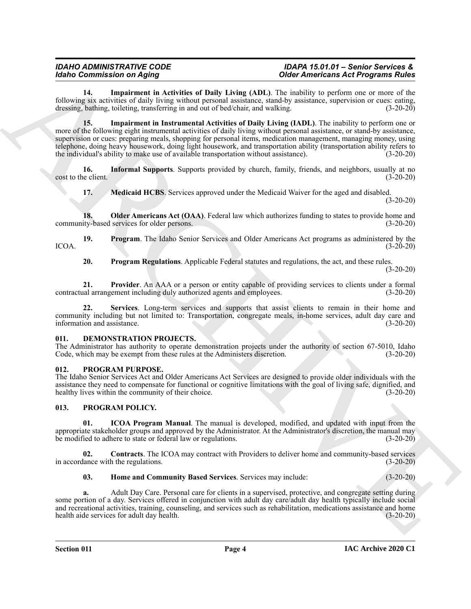#### *IDAHO ADMINISTRATIVE CODE IDAPA 15.01.01 – Senior Services & Idaho Commission on Aging Older Americans Act Programs Rules*

<span id="page-3-4"></span><span id="page-3-3"></span>**14. Impairment in Activities of Daily Living (ADL)**. The inability to perform one or more of the following six activities of daily living without personal assistance, stand-by assistance, supervision or cues: eating, dressing, bathing, toileting, transferring in and out of bed/chair, and walking. (3-20-20)

**Extra Contrast on Addition of Daily Lines (ADJ). The including the content of Proposition of College Contrast (ADV) and the contrast of Proposition of the College Contrast (ADV) and the contrast (ADV) and the contrast ( 15. Impairment in Instrumental Activities of Daily Living (IADL)**. The inability to perform one or more of the following eight instrumental activities of daily living without personal assistance, or stand-by assistance, supervision or cues: preparing meals, shopping for personal items, medication management, managing money, using telephone, doing heavy housework, doing light housework, and transportation ability (transportation ability refers to the individual's ability to make use of available transportation without assistance). (3-20-20)

16. **Informal Supports**. Supports provided by church, family, friends, and neighbors, usually at no cost to the client. (3-20-20)

<span id="page-3-7"></span><span id="page-3-6"></span><span id="page-3-5"></span>**17. Medicaid HCBS**. Services approved under the Medicaid Waiver for the aged and disabled.

(3-20-20)

**18. Older Americans Act (OAA)**. Federal law which authorizes funding to states to provide home and community-based services for older persons. (3-20-20)

**19. Program**. The Idaho Senior Services and Older Americans Act programs as administered by the  $\text{ICOA.}$  (3-20-20)

<span id="page-3-11"></span><span id="page-3-10"></span><span id="page-3-9"></span><span id="page-3-8"></span>**20. Program Regulations**. Applicable Federal statutes and regulations, the act, and these rules.

(3-20-20)

**21. Provider**. An AAA or a person or entity capable of providing services to clients under a formal contractual arrangement including duly authorized agents and employees. (3-20-20)

**22. Services**. Long-term services and supports that assist clients to remain in their home and community including but not limited to: Transportation, congregate meals, in-home services, adult day care and information and assistance.

#### <span id="page-3-12"></span><span id="page-3-0"></span>**011. DEMONSTRATION PROJECTS.**

The Administrator has authority to operate demonstration projects under the authority of section 67-5010, Idaho Code, which may be exempt from these rules at the Administers discretion. (3-20-20) Code, which may be exempt from these rules at the Administers discretion.

#### <span id="page-3-17"></span><span id="page-3-1"></span>**012. PROGRAM PURPOSE.**

The Idaho Senior Services Act and Older Americans Act Services are designed to provide older individuals with the assistance they need to compensate for functional or cognitive limitations with the goal of living safe, dignified, and healthy lives within the community of their choice. (3-20-20) healthy lives within the community of their choice.

#### <span id="page-3-13"></span><span id="page-3-2"></span>**013. PROGRAM POLICY.**

<span id="page-3-16"></span>**01. ICOA Program Manual**. The manual is developed, modified, and updated with input from the appropriate stakeholder groups and approved by the Administrator. At the Administrator's discretion, the manual may<br>be modified to adhere to state or federal law or regulations. (3-20-20) be modified to adhere to state or federal law or regulations.

**02. Contracts**. The ICOA may contract with Providers to deliver home and community-based services in accordance with the regulations. (3-20-20)

<span id="page-3-15"></span><span id="page-3-14"></span>**03. Home and Community Based Services**. Services may include: (3-20-20)

**a.** Adult Day Care. Personal care for clients in a supervised, protective, and congregate setting during some portion of a day. Services offered in conjunction with adult day care/adult day health typically include social and recreational activities, training, counseling, and services such as rehabilitation, medications assistance and home<br>health aide services for adult day health. (3-20-20) health aide services for adult day health.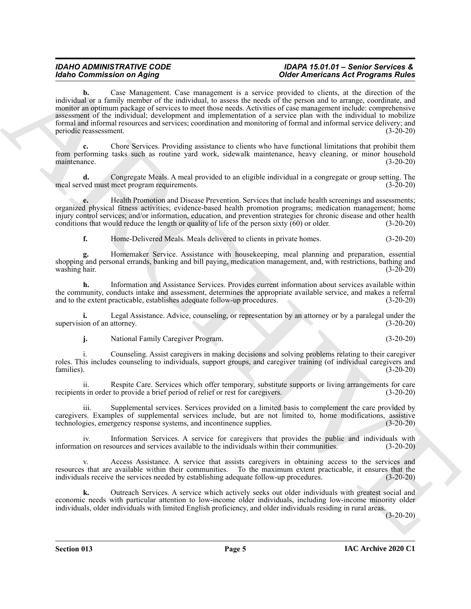#### *IDAHO ADMINISTRATIVE CODE IDAPA 15.01.01 – Senior Services & Idaho Commission on Aging Older Americans Act Programs Rules*

**Extra Control on American** control on the measurement is a specific American extended Proposition of the measurement in the measurement of the measurement in the measurement of the measurement in the measurement of the **b.** Case Management. Case management is a service provided to clients, at the direction of the individual or a family member of the individual, to assess the needs of the person and to arrange, coordinate, and monitor an optimum package of services to meet those needs. Activities of case management include: comprehensive assessment of the individual; development and implementation of a service plan with the individual to mobilize formal and informal resources and services; coordination and monitoring of formal and informal service delivery; and periodic reassessment. (3-20-20)

**c.** Chore Services. Providing assistance to clients who have functional limitations that prohibit them from performing tasks such as routine yard work, sidewalk maintenance, heavy cleaning, or minor household maintenance. (3-20-20)

**d.** Congregate Meals. A meal provided to an eligible individual in a congregate or group setting. The ved must meet program requirements. meal served must meet program requirements.

**e.** Health Promotion and Disease Prevention. Services that include health screenings and assessments; organized physical fitness activities; evidence-based health promotion programs; medication management; home injury control services; and/or information, education, and prevention strategies for chronic disease and other health conditions that would reduce the length or quality of life of the person sixty  $(60)$  or older. (3-20-20)

**f.** Home-Delivered Meals. Meals delivered to clients in private homes. (3-20-20)

**g.** Homemaker Service. Assistance with housekeeping, meal planning and preparation, essential shopping and personal errands, banking and bill paying, medication management, and, with restrictions, bathing and washing hair. (3-20-20)

**h.** Information and Assistance Services. Provides current information about services available within the community, conducts intake and assessment, determines the appropriate available service, and makes a referral<br>and to the extent practicable, establishes adequate follow-up procedures. (3-20-20) and to the extent practicable, establishes adequate follow-up procedures.

**i.** Legal Assistance. Advice, counseling, or representation by an attorney or by a paralegal under the supervision of an attorney. (3-20-20)

**j.** National Family Caregiver Program. (3-20-20)

i. Counseling. Assist caregivers in making decisions and solving problems relating to their caregiver roles. This includes counseling to individuals, support groups, and caregiver training (of individual caregivers and families). families). (3-20-20)

ii. Respite Care. Services which offer temporary, substitute supports or living arrangements for care<br>s in order to provide a brief period of relief or rest for caregivers. (3-20-20) recipients in order to provide a brief period of relief or rest for caregivers.

iii. Supplemental services. Services provided on a limited basis to complement the care provided by caregivers. Examples of supplemental services include, but are not limited to, home modifications, assistive technologies, emergency response systems, and incontinence supplies. (3-20-20) technologies, emergency response systems, and incontinence supplies.

iv. Information Services. A service for caregivers that provides the public and individuals with information on resources and services available to the individuals within their communities. (3-20-20)

Access Assistance. A service that assists caregivers in obtaining access to the services and resources that are available within their communities. To the maximum extent practicable, it ensures that the individuals receive the services needed by establishing adequate follow-up procedures. (3-20-20)

**k.** Outreach Services. A service which actively seeks out older individuals with greatest social and economic needs with particular attention to low-income older individuals, including low-income minority older individuals, older individuals with limited English proficiency, and older individuals residing in rural areas.

 $(3-20-20)$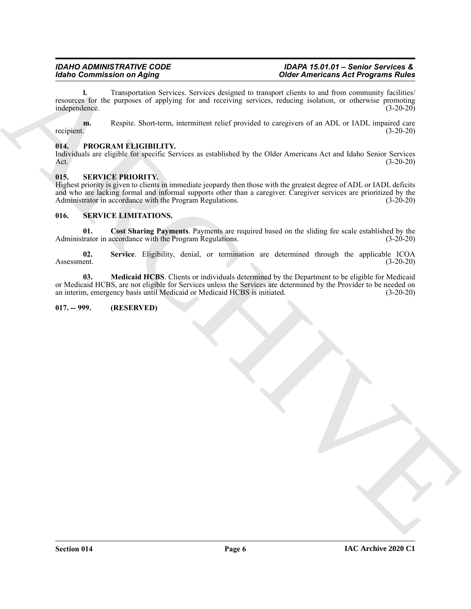**l.** Transportation Services. Services designed to transport clients to and from community facilities/ resources for the purposes of applying for and receiving services, reducing isolation, or otherwise promoting independence. (3-20-20)

**m.** Respite. Short-term, intermittent relief provided to caregivers of an ADL or IADL impaired care recipient. (3-20-20)

#### <span id="page-5-4"></span><span id="page-5-0"></span>**014. PROGRAM ELIGIBILITY.**

Individuals are eligible for specific Services as established by the Older Americans Act and Idaho Senior Services Act. (3-20-20)

#### <span id="page-5-9"></span><span id="page-5-1"></span>**015. SERVICE PRIORITY.**

Model Commutation on Applies<br>
North Contrast in the particular state of the Model Commutation of the Model Commutation of the Contrast intervention of the Contrast of the Contrast intervention of the Contrast intervention Highest priority is given to clients in immediate jeopardy then those with the greatest degree of ADL or IADL deficits and who are lacking formal and informal supports other than a caregiver. Caregiver services are prioritized by the Administrator in accordance with the Program Regulations. (3-20-20)

#### <span id="page-5-5"></span><span id="page-5-2"></span>**016. SERVICE LIMITATIONS.**

<span id="page-5-6"></span>**01. Cost Sharing Payments**. Payments are required based on the sliding fee scale established by the Administrator in accordance with the Program Regulations. (3-20-20)

<span id="page-5-8"></span>**02.** Service. Eligibility, denial, or termination are determined through the applicable ICOA<br>(3-20-20) Assessment. (3-20-20)

<span id="page-5-7"></span>**03. Medicaid HCBS**. Clients or individuals determined by the Department to be eligible for Medicaid or Medicaid HCBS, are not eligible for Services unless the Services are determined by the Provider to be needed on an interim, emergency basis until Medicaid or Medicaid HCBS is initiated. (3-20-20)

#### <span id="page-5-3"></span>**017. -- 999. (RESERVED)**